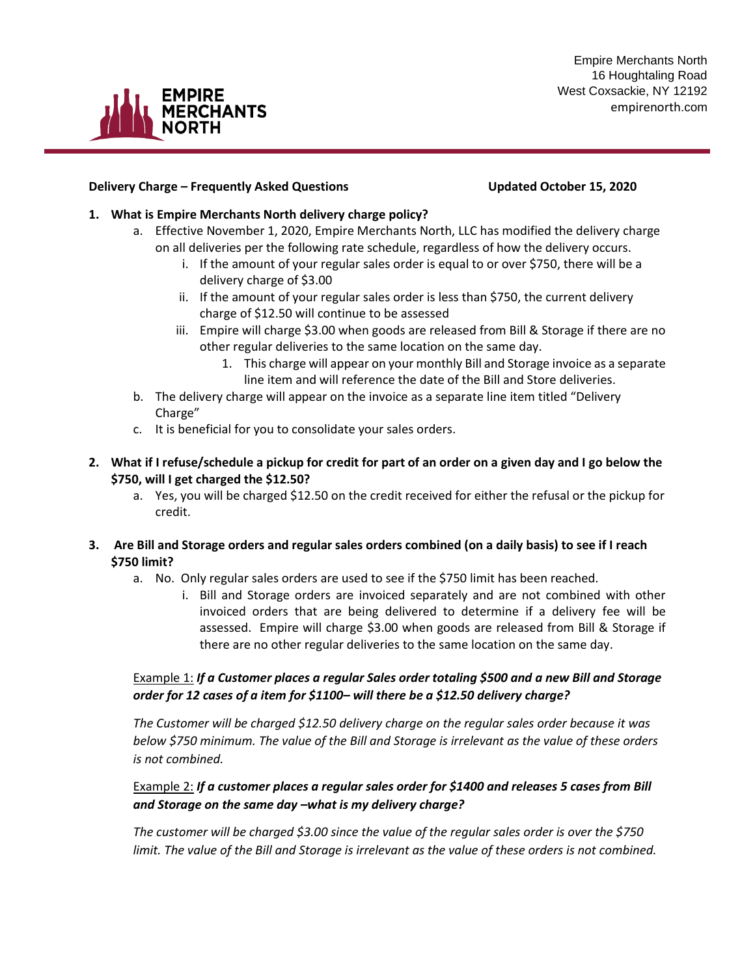

### **Delivery Charge – Frequently Asked Questions Updated October 15, 2020**

**CHANTS** 

### **1. What is Empire Merchants North delivery charge policy?**

- a. Effective November 1, 2020, Empire Merchants North, LLC has modified the delivery charge on all deliveries per the following rate schedule, regardless of how the delivery occurs.
	- i. If the amount of your regular sales order is equal to or over \$750, there will be a delivery charge of \$3.00
	- ii. If the amount of your regular sales order is less than \$750, the current delivery charge of \$12.50 will continue to be assessed
	- iii. Empire will charge \$3.00 when goods are released from Bill & Storage if there are no other regular deliveries to the same location on the same day.
		- 1. This charge will appear on your monthly Bill and Storage invoice as a separate line item and will reference the date of the Bill and Store deliveries.
- b. The delivery charge will appear on the invoice as a separate line item titled "Delivery Charge"
- c. It is beneficial for you to consolidate your sales orders.
- **2. What if I refuse/schedule a pickup for credit for part of an order on a given day and I go below the \$750, will I get charged the \$12.50?** 
	- a. Yes, you will be charged \$12.50 on the credit received for either the refusal or the pickup for credit.
- **3. Are Bill and Storage orders and regular sales orders combined (on a daily basis) to see if I reach \$750 limit?**
	- a. No. Only regular sales orders are used to see if the \$750 limit has been reached.
		- i. Bill and Storage orders are invoiced separately and are not combined with other invoiced orders that are being delivered to determine if a delivery fee will be assessed. Empire will charge \$3.00 when goods are released from Bill & Storage if there are no other regular deliveries to the same location on the same day.

## Example 1: *If a Customer places a regular Sales order totaling \$500 and a new Bill and Storage order for 12 cases of a item for \$1100– will there be a \$12.50 delivery charge?*

*The Customer will be charged \$12.50 delivery charge on the regular sales order because it was below \$750 minimum. The value of the Bill and Storage is irrelevant as the value of these orders is not combined.*

## Example 2: *If a customer places a regular sales order for \$1400 and releases 5 cases from Bill and Storage on the same day –what is my delivery charge?*

*The customer will be charged \$3.00 since the value of the regular sales order is over the \$750 limit. The value of the Bill and Storage is irrelevant as the value of these orders is not combined.*